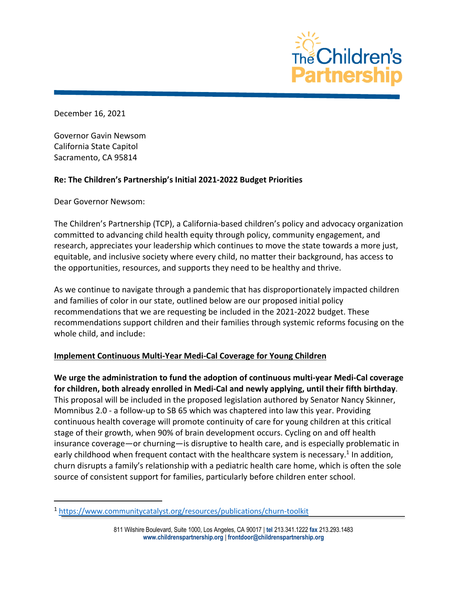

December 16, 2021

Governor Gavin Newsom California State Capitol Sacramento, CA 95814

#### **Re: The Children's Partnership's Initial 2021-2022 Budget Priorities**

Dear Governor Newsom:

The Children's Partnership (TCP), a California-based children's policy and advocacy organization committed to advancing child health equity through policy, community engagement, and research, appreciates your leadership which continues to move the state towards a more just, equitable, and inclusive society where every child, no matter their background, has access to the opportunities, resources, and supports they need to be healthy and thrive.

As we continue to navigate through a pandemic that has disproportionately impacted children and families of color in our state, outlined below are our proposed initial policy recommendations that we are requesting be included in the 2021-2022 budget. These recommendations support children and their families through systemic reforms focusing on the whole child, and include:

# **Implement Continuous Multi-Year Medi-Cal Coverage for Young Children**

**We urge the administration to fund the adoption of continuous multi-year Medi-Cal coverage for children, both already enrolled in Medi-Cal and newly applying, until their fifth birthday**. This proposal will be included in the proposed legislation authored by Senator Nancy Skinner, Momnibus 2.0 - a follow-up to SB 65 which was chaptered into law this year. Providing continuous health coverage will promote continuity of care for young children at this critical stage of their growth, when 90% of brain development occurs. Cycling on and off health insurance coverage—or churning—is disruptive to health care, and is especially problematic in early childhood when frequent contact with the healthcare system is necessary.<sup>1</sup> In addition, churn disrupts a family's relationship with a pediatric health care home, which is often the sole source of consistent support for families, particularly before children enter school.

<sup>1</sup> https://www.communitycatalyst.org/resources/publications/churn-toolkit

<sup>811</sup> Wilshire Boulevard, Suite 1000, Los Angeles, CA 90017 | **tel** 213.341.1222 **fax** 213.293.1483 **www.childrenspartnership.org** | **frontdoor@childrenspartnership.org**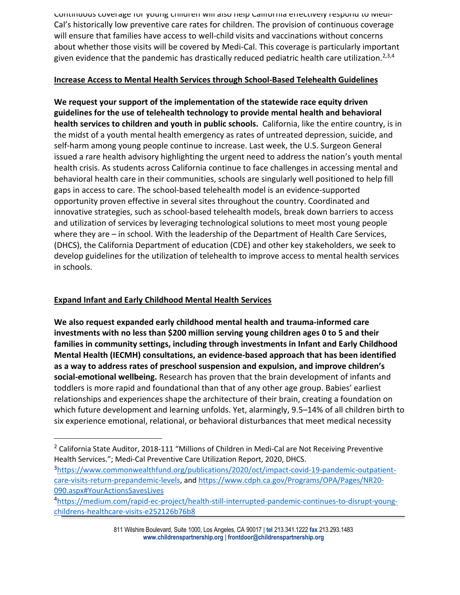Continuous coverage for young children will also help California effectively respond to Medi-Cal's historically low preventive care rates for children. The provision of continuous coverage will ensure that families have access to well-child visits and vaccinations without concerns about whether those visits will be covered by Medi-Cal. This coverage is particularly important given evidence that the pandemic has drastically reduced pediatric health care utilization.<sup>2,3,4</sup>

#### **Increase Access to Mental Health Services through School-Based Telehealth Guidelines**

**We request your support of the implementation of the statewide race equity driven guidelines for the use of telehealth technology to provide mental health and behavioral health services to children and youth in public schools.** California, like the entire country, is in the midst of a youth mental health emergency as rates of untreated depression, suicide, and self-harm among young people continue to increase. Last week, the U.S. Surgeon General issued a rare health advisory highlighting the urgent need to address the nation's youth mental health crisis. As students across California continue to face challenges in accessing mental and behavioral health care in their communities, schools are singularly well positioned to help fill gaps in access to care. The school-based telehealth model is an evidence-supported opportunity proven effective in several sites throughout the country. Coordinated and innovative strategies, such as school-based telehealth models, break down barriers to access and utilization of services by leveraging technological solutions to meet most young people where they are – in school. With the leadership of the Department of Health Care Services, (DHCS), the California Department of education (CDE) and other key stakeholders, we seek to develop guidelines for the utilization of telehealth to improve access to mental health services in schools.

## **Expand Infant and Early Childhood Mental Health Services**

**We also request expanded early childhood mental health and trauma-informed care investments with no less than \$200 million serving young children ages 0 to 5 and their families in community settings, including through investments in Infant and Early Childhood Mental Health (IECMH) consultations, an evidence-based approach that has been identified as a way to address rates of preschool suspension and expulsion, and improve children's social-emotional wellbeing.** Research has proven that the brain development of infants and toddlers is more rapid and foundational than that of any other age group. Babies' earliest relationships and experiences shape the architecture of their brain, creating a foundation on which future development and learning unfolds. Yet, alarmingly, 9.5–14% of all children birth to six experience emotional, relational, or behavioral disturbances that meet medical necessity

<sup>&</sup>lt;sup>2</sup> California State Auditor, 2018-111 "Millions of Children in Medi-Cal are Not Receiving Preventive Health Services."; Medi-Cal Preventive Care Utilization Report, 2020, DHCS.

<sup>3</sup>https://www.commonwealthfund.org/publications/2020/oct/impact-covid-19-pandemic-outpatientcare-visits-return-prepandemic-levels, and https://www.cdph.ca.gov/Programs/OPA/Pages/NR20- 090.aspx#YourActionsSavesLives<br>4https://medium.com/rapid-ec-project/health-still-interrupted-pandemic-continues-to-disrupt-young-

childrens-healthcare-visits-e252126b76b8

<sup>811</sup> Wilshire Boulevard, Suite 1000, Los Angeles, CA 90017 | **tel** 213.341.1222 **fax** 213.293.1483 **www.childrenspartnership.org** | **frontdoor@childrenspartnership.org**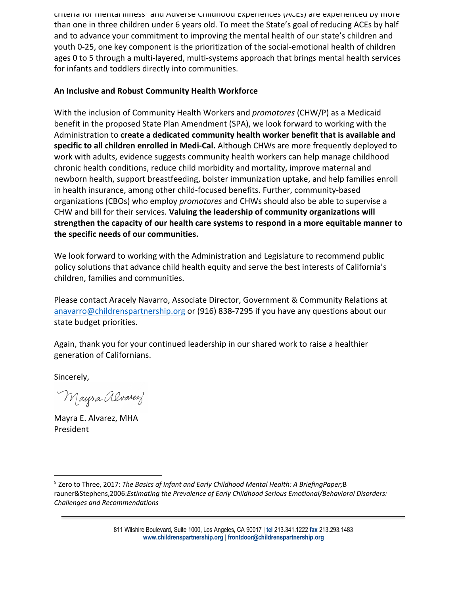criteria for mental illness5 and Adverse Childhood Experiences (ACEs) are experienced by more than one in three children under 6 years old. To meet the State's goal of reducing ACEs by half and to advance your commitment to improving the mental health of our state's children and youth 0-25, one key component is the prioritization of the social-emotional health of children ages 0 to 5 through a multi-layered, multi-systems approach that brings mental health services for infants and toddlers directly into communities.

### **An Inclusive and Robust Community Health Workforce**

With the inclusion of Community Health Workers and *promotores* (CHW/P) as a Medicaid benefit in the proposed State Plan Amendment (SPA), we look forward to working with the Administration to **create a dedicated community health worker benefit that is available and specific to all children enrolled in Medi-Cal.** Although CHWs are more frequently deployed to work with adults, evidence suggests community health workers can help manage childhood chronic health conditions, reduce child morbidity and mortality, improve maternal and newborn health, support breastfeeding, bolster immunization uptake, and help families enroll in health insurance, among other child-focused benefits. Further, community-based organizations (CBOs) who employ *promotores* and CHWs should also be able to supervise a CHW and bill for their services. **Valuing the leadership of community organizations will strengthen the capacity of our health care systems to respond in a more equitable manner to the specific needs of our communities.** 

We look forward to working with the Administration and Legislature to recommend public policy solutions that advance child health equity and serve the best interests of California's children, families and communities.

Please contact Aracely Navarro, Associate Director, Government & Community Relations at anavarro@childrenspartnership.org or (916) 838-7295 if you have any questions about our state budget priorities.

Again, thank you for your continued leadership in our shared work to raise a healthier generation of Californians.

Sincerely,

Mayra Alvarez

Mayra E. Alvarez, MHA President

811 Wilshire Boulevard, Suite 1000, Los Angeles, CA 90017 | **tel** 213.341.1222 **fax** 213.293.1483 **www.childrenspartnership.org** | **frontdoor@childrenspartnership.org**

<sup>5</sup> Zero to Three, 2017: *The Basics of Infant and Early Childhood Mental Health: A BriefingPaper;*B rauner&Stephens,2006:*Estimating the Prevalence of Early Childhood Serious Emotional/Behavioral Disorders: Challenges and Recommendations*